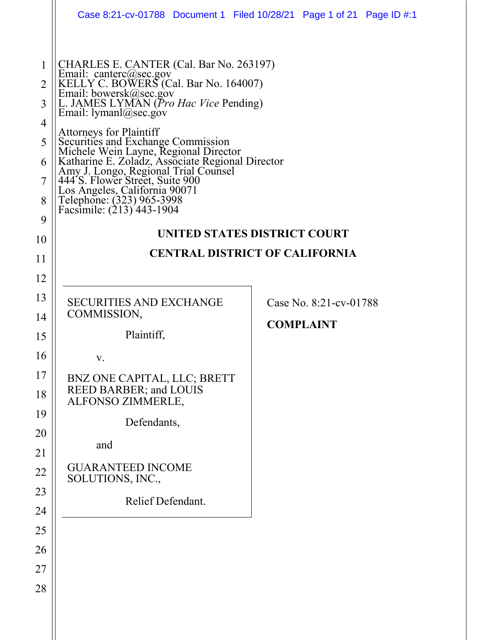|                                                 | Case 8:21-cv-01788  Document 1  Filed 10/28/21  Page 1 of 21  Page ID #:1                                                                                                                                                                                                                                                                                                                                                                                                                                               |                        |  |  |  |  |  |
|-------------------------------------------------|-------------------------------------------------------------------------------------------------------------------------------------------------------------------------------------------------------------------------------------------------------------------------------------------------------------------------------------------------------------------------------------------------------------------------------------------------------------------------------------------------------------------------|------------------------|--|--|--|--|--|
| 1<br>2<br>3<br>4<br>5<br>6<br>7<br>8<br>9<br>10 | CHARLES E. CANTER (Cal. Bar No. 263197)<br>Email: canterc@sec.gov<br>KELLY C. BOWERS (Cal. Bar No. 164007)<br>Email: bowersk@sec.gov<br>L. JAMES LYMAN (Pro Hac Vice Pending)<br>Email: $lyman@sec.gov$<br><b>Attorneys for Plaintiff</b><br>Auorneys for Pianum<br>Securities and Exchange Commission<br>Michele Wein Layne, Regional Director<br>Katharine E. Zoladz, Associate Regional Director<br>Amy J. Longo, Regional Trial Counsel<br>444 S. Flower Street, Suite 900<br>Los A<br>UNITED STATES DISTRICT COURT |                        |  |  |  |  |  |
| 11                                              | <b>CENTRAL DISTRICT OF CALIFORNIA</b>                                                                                                                                                                                                                                                                                                                                                                                                                                                                                   |                        |  |  |  |  |  |
| 12                                              |                                                                                                                                                                                                                                                                                                                                                                                                                                                                                                                         |                        |  |  |  |  |  |
| 13                                              | <b>SECURITIES AND EXCHANGE</b>                                                                                                                                                                                                                                                                                                                                                                                                                                                                                          | Case No. 8:21-cv-01788 |  |  |  |  |  |
| 14                                              | COMMISSION,<br>Plaintiff,                                                                                                                                                                                                                                                                                                                                                                                                                                                                                               | <b>COMPLAINT</b>       |  |  |  |  |  |
| 15<br>16                                        | V.                                                                                                                                                                                                                                                                                                                                                                                                                                                                                                                      |                        |  |  |  |  |  |
| 17                                              | BNZ ONE CAPITAL, LLC; BRETT                                                                                                                                                                                                                                                                                                                                                                                                                                                                                             |                        |  |  |  |  |  |
| 18                                              | REED BARBER; and LOUIS<br>ALFONSO ZIMMERLE,                                                                                                                                                                                                                                                                                                                                                                                                                                                                             |                        |  |  |  |  |  |
| 19                                              | Defendants,                                                                                                                                                                                                                                                                                                                                                                                                                                                                                                             |                        |  |  |  |  |  |
| 20<br>21                                        | and                                                                                                                                                                                                                                                                                                                                                                                                                                                                                                                     |                        |  |  |  |  |  |
| 22                                              | <b>GUARANTEED INCOME</b><br>SOLUTIONS, INC.,                                                                                                                                                                                                                                                                                                                                                                                                                                                                            |                        |  |  |  |  |  |
| 23                                              | Relief Defendant.                                                                                                                                                                                                                                                                                                                                                                                                                                                                                                       |                        |  |  |  |  |  |
| 24<br>25                                        |                                                                                                                                                                                                                                                                                                                                                                                                                                                                                                                         |                        |  |  |  |  |  |
| 26                                              |                                                                                                                                                                                                                                                                                                                                                                                                                                                                                                                         |                        |  |  |  |  |  |
| 27                                              |                                                                                                                                                                                                                                                                                                                                                                                                                                                                                                                         |                        |  |  |  |  |  |
| 28                                              |                                                                                                                                                                                                                                                                                                                                                                                                                                                                                                                         |                        |  |  |  |  |  |
|                                                 |                                                                                                                                                                                                                                                                                                                                                                                                                                                                                                                         |                        |  |  |  |  |  |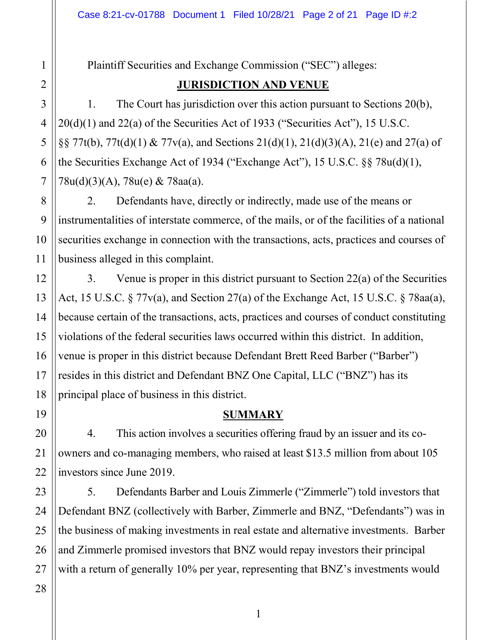Plaintiff Securities and Exchange Commission ("SEC") alleges:

# **JURISDICTION AND VENUE**

1. The Court has jurisdiction over this action pursuant to Sections 20(b), 20(d)(1) and 22(a) of the Securities Act of 1933 ("Securities Act"), 15 U.S.C. §§ 77t(b), 77t(d)(1) & 77v(a), and Sections 21(d)(1), 21(d)(3)(A), 21(e) and 27(a) of the Securities Exchange Act of 1934 ("Exchange Act"), 15 U.S.C. §§ 78u(d)(1), 78u(d)(3)(A), 78u(e) & 78aa(a).

2. Defendants have, directly or indirectly, made use of the means or instrumentalities of interstate commerce, of the mails, or of the facilities of a national securities exchange in connection with the transactions, acts, practices and courses of business alleged in this complaint.

3. Venue is proper in this district pursuant to Section 22(a) of the Securities Act, 15 U.S.C. § 77v(a), and Section 27(a) of the Exchange Act, 15 U.S.C. § 78aa(a), because certain of the transactions, acts, practices and courses of conduct constituting violations of the federal securities laws occurred within this district. In addition, venue is proper in this district because Defendant Brett Reed Barber ("Barber") resides in this district and Defendant BNZ One Capital, LLC ("BNZ") has its principal place of business in this district.

# **SUMMARY**

4. This action involves a securities offering fraud by an issuer and its coowners and co-managing members, who raised at least \$13.5 million from about 105 investors since June 2019.

5. Defendants Barber and Louis Zimmerle ("Zimmerle") told investors that Defendant BNZ (collectively with Barber, Zimmerle and BNZ, "Defendants") was in the business of making investments in real estate and alternative investments. Barber and Zimmerle promised investors that BNZ would repay investors their principal with a return of generally 10% per year, representing that BNZ's investments would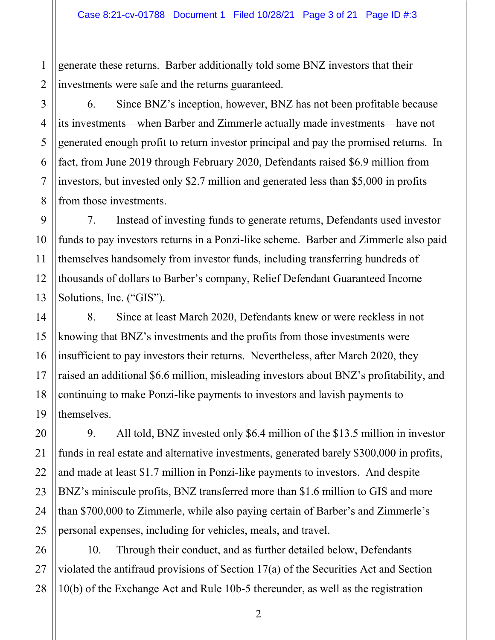generate these returns. Barber additionally told some BNZ investors that their investments were safe and the returns guaranteed.

6. Since BNZ's inception, however, BNZ has not been profitable because its investments—when Barber and Zimmerle actually made investments—have not generated enough profit to return investor principal and pay the promised returns. In fact, from June 2019 through February 2020, Defendants raised \$6.9 million from investors, but invested only \$2.7 million and generated less than \$5,000 in profits from those investments.

7. Instead of investing funds to generate returns, Defendants used investor funds to pay investors returns in a Ponzi-like scheme. Barber and Zimmerle also paid themselves handsomely from investor funds, including transferring hundreds of thousands of dollars to Barber's company, Relief Defendant Guaranteed Income Solutions, Inc. ("GIS").

8. Since at least March 2020, Defendants knew or were reckless in not knowing that BNZ's investments and the profits from those investments were insufficient to pay investors their returns. Nevertheless, after March 2020, they raised an additional \$6.6 million, misleading investors about BNZ's profitability, and continuing to make Ponzi-like payments to investors and lavish payments to themselves.

9. All told, BNZ invested only \$6.4 million of the \$13.5 million in investor funds in real estate and alternative investments, generated barely \$300,000 in profits, and made at least \$1.7 million in Ponzi-like payments to investors. And despite BNZ's miniscule profits, BNZ transferred more than \$1.6 million to GIS and more than \$700,000 to Zimmerle, while also paying certain of Barber's and Zimmerle's personal expenses, including for vehicles, meals, and travel.

10. Through their conduct, and as further detailed below, Defendants violated the antifraud provisions of Section 17(a) of the Securities Act and Section 10(b) of the Exchange Act and Rule 10b-5 thereunder, as well as the registration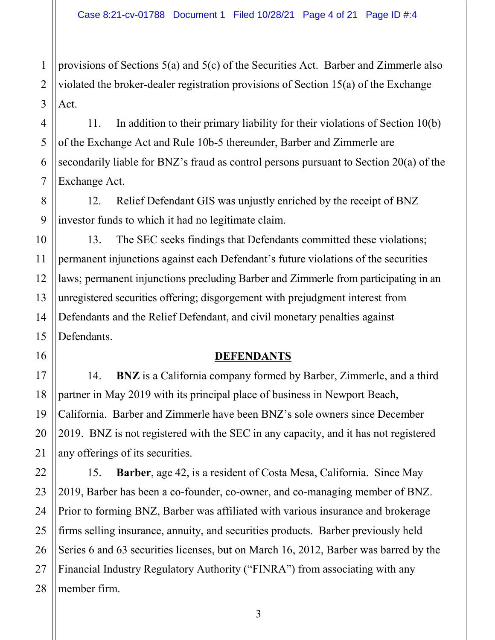2 provisions of Sections 5(a) and 5(c) of the Securities Act. Barber and Zimmerle also violated the broker-dealer registration provisions of Section 15(a) of the Exchange Act.

11. In addition to their primary liability for their violations of Section 10(b) of the Exchange Act and Rule 10b-5 thereunder, Barber and Zimmerle are secondarily liable for BNZ's fraud as control persons pursuant to Section 20(a) of the Exchange Act.

12. Relief Defendant GIS was unjustly enriched by the receipt of BNZ investor funds to which it had no legitimate claim.

13. The SEC seeks findings that Defendants committed these violations; permanent injunctions against each Defendant's future violations of the securities laws; permanent injunctions precluding Barber and Zimmerle from participating in an unregistered securities offering; disgorgement with prejudgment interest from Defendants and the Relief Defendant, and civil monetary penalties against Defendants.

#### **DEFENDANTS**

14. **BNZ** is a California company formed by Barber, Zimmerle, and a third partner in May 2019 with its principal place of business in Newport Beach, California. Barber and Zimmerle have been BNZ's sole owners since December 2019. BNZ is not registered with the SEC in any capacity, and it has not registered any offerings of its securities.

15. **Barber**, age 42, is a resident of Costa Mesa, California. Since May 2019, Barber has been a co-founder, co-owner, and co-managing member of BNZ. Prior to forming BNZ, Barber was affiliated with various insurance and brokerage firms selling insurance, annuity, and securities products. Barber previously held Series 6 and 63 securities licenses, but on March 16, 2012, Barber was barred by the Financial Industry Regulatory Authority ("FINRA") from associating with any member firm.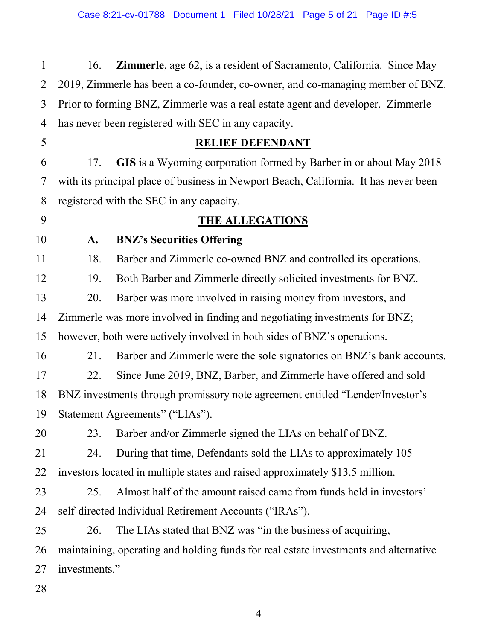16. **Zimmerle**, age 62, is a resident of Sacramento, California. Since May 2019, Zimmerle has been a co-founder, co-owner, and co-managing member of BNZ. Prior to forming BNZ, Zimmerle was a real estate agent and developer. Zimmerle has never been registered with SEC in any capacity.

#### **RELIEF DEFENDANT**

17. **GIS** is a Wyoming corporation formed by Barber in or about May 2018 with its principal place of business in Newport Beach, California. It has never been registered with the SEC in any capacity.

# **THE ALLEGATIONS**

### **A. BNZ's Securities Offering**

18. Barber and Zimmerle co-owned BNZ and controlled its operations.

19. Both Barber and Zimmerle directly solicited investments for BNZ.

20. Barber was more involved in raising money from investors, and Zimmerle was more involved in finding and negotiating investments for BNZ; however, both were actively involved in both sides of BNZ's operations.

21. Barber and Zimmerle were the sole signatories on BNZ's bank accounts.

22. Since June 2019, BNZ, Barber, and Zimmerle have offered and sold BNZ investments through promissory note agreement entitled "Lender/Investor's Statement Agreements" ("LIAs").

23. Barber and/or Zimmerle signed the LIAs on behalf of BNZ.

24. During that time, Defendants sold the LIAs to approximately 105 investors located in multiple states and raised approximately \$13.5 million.

25. Almost half of the amount raised came from funds held in investors' self-directed Individual Retirement Accounts ("IRAs").

26. The LIAs stated that BNZ was "in the business of acquiring, maintaining, operating and holding funds for real estate investments and alternative investments."

1

2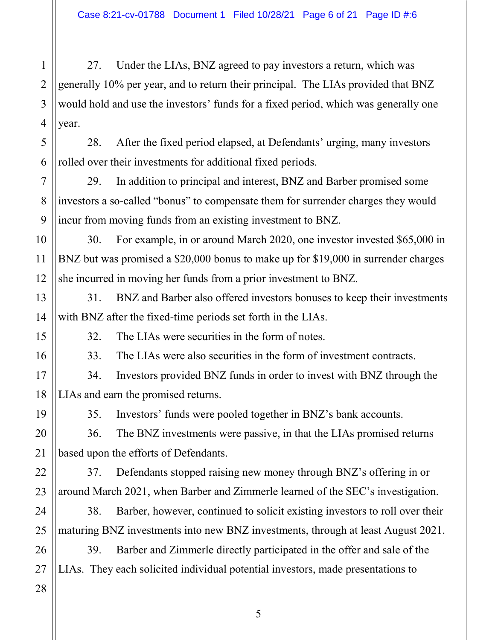27. Under the LIAs, BNZ agreed to pay investors a return, which was generally 10% per year, and to return their principal. The LIAs provided that BNZ would hold and use the investors' funds for a fixed period, which was generally one year.

28. After the fixed period elapsed, at Defendants' urging, many investors rolled over their investments for additional fixed periods.

29. In addition to principal and interest, BNZ and Barber promised some investors a so-called "bonus" to compensate them for surrender charges they would incur from moving funds from an existing investment to BNZ.

30. For example, in or around March 2020, one investor invested \$65,000 in BNZ but was promised a \$20,000 bonus to make up for \$19,000 in surrender charges she incurred in moving her funds from a prior investment to BNZ.

31. BNZ and Barber also offered investors bonuses to keep their investments with BNZ after the fixed-time periods set forth in the LIAs.

1

2

3

4

5

6

7

8

9

10

11

12

13

14

15

16

19

20

21

22

23

24

25

32. The LIAs were securities in the form of notes.

33. The LIAs were also securities in the form of investment contracts.

17 18 34. Investors provided BNZ funds in order to invest with BNZ through the LIAs and earn the promised returns.

35. Investors' funds were pooled together in BNZ's bank accounts.

36. The BNZ investments were passive, in that the LIAs promised returns based upon the efforts of Defendants.

37. Defendants stopped raising new money through BNZ's offering in or around March 2021, when Barber and Zimmerle learned of the SEC's investigation.

38. Barber, however, continued to solicit existing investors to roll over their maturing BNZ investments into new BNZ investments, through at least August 2021.

26 39. Barber and Zimmerle directly participated in the offer and sale of the LIAs. They each solicited individual potential investors, made presentations to

27 28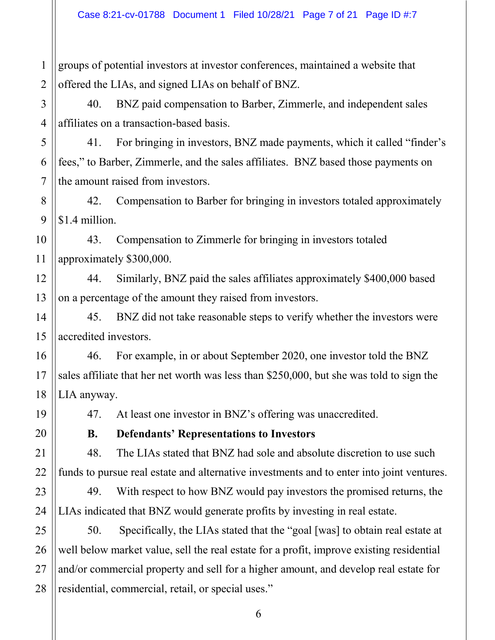1 2 groups of potential investors at investor conferences, maintained a website that offered the LIAs, and signed LIAs on behalf of BNZ.

40. BNZ paid compensation to Barber, Zimmerle, and independent sales affiliates on a transaction-based basis.

41. For bringing in investors, BNZ made payments, which it called "finder's fees," to Barber, Zimmerle, and the sales affiliates. BNZ based those payments on the amount raised from investors.

42. Compensation to Barber for bringing in investors totaled approximately \$1.4 million.

43. Compensation to Zimmerle for bringing in investors totaled approximately \$300,000.

44. Similarly, BNZ paid the sales affiliates approximately \$400,000 based on a percentage of the amount they raised from investors.

45. BNZ did not take reasonable steps to verify whether the investors were accredited investors.

46. For example, in or about September 2020, one investor told the BNZ sales affiliate that her net worth was less than \$250,000, but she was told to sign the LIA anyway.

47. At least one investor in BNZ's offering was unaccredited.

**B. Defendants' Representations to Investors** 

48. The LIAs stated that BNZ had sole and absolute discretion to use such funds to pursue real estate and alternative investments and to enter into joint ventures.

49. With respect to how BNZ would pay investors the promised returns, the LIAs indicated that BNZ would generate profits by investing in real estate.

25 26 27 28 50. Specifically, the LIAs stated that the "goal [was] to obtain real estate at well below market value, sell the real estate for a profit, improve existing residential and/or commercial property and sell for a higher amount, and develop real estate for residential, commercial, retail, or special uses."

3

4

5

6

7

8

9

10

11

12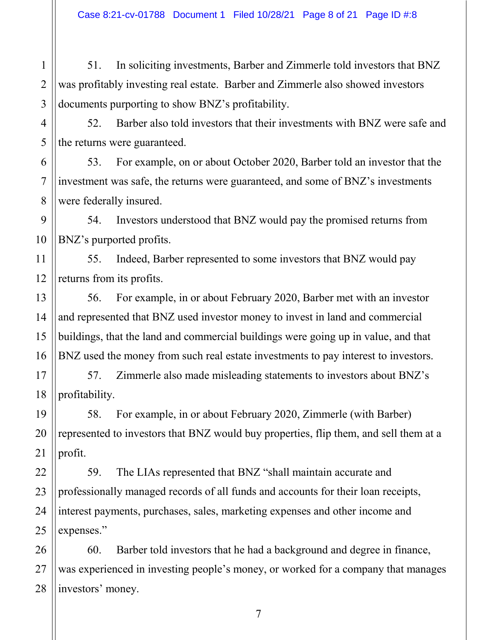51. In soliciting investments, Barber and Zimmerle told investors that BNZ was profitably investing real estate. Barber and Zimmerle also showed investors documents purporting to show BNZ's profitability.

52. Barber also told investors that their investments with BNZ were safe and the returns were guaranteed.

53. For example, on or about October 2020, Barber told an investor that the investment was safe, the returns were guaranteed, and some of BNZ's investments were federally insured.

54. Investors understood that BNZ would pay the promised returns from BNZ's purported profits.

55. Indeed, Barber represented to some investors that BNZ would pay returns from its profits.

56. For example, in or about February 2020, Barber met with an investor and represented that BNZ used investor money to invest in land and commercial buildings, that the land and commercial buildings were going up in value, and that BNZ used the money from such real estate investments to pay interest to investors.

57. Zimmerle also made misleading statements to investors about BNZ's profitability.

58. For example, in or about February 2020, Zimmerle (with Barber) represented to investors that BNZ would buy properties, flip them, and sell them at a profit.

59. The LIAs represented that BNZ "shall maintain accurate and professionally managed records of all funds and accounts for their loan receipts, interest payments, purchases, sales, marketing expenses and other income and expenses."

60. Barber told investors that he had a background and degree in finance, was experienced in investing people's money, or worked for a company that manages investors' money.

1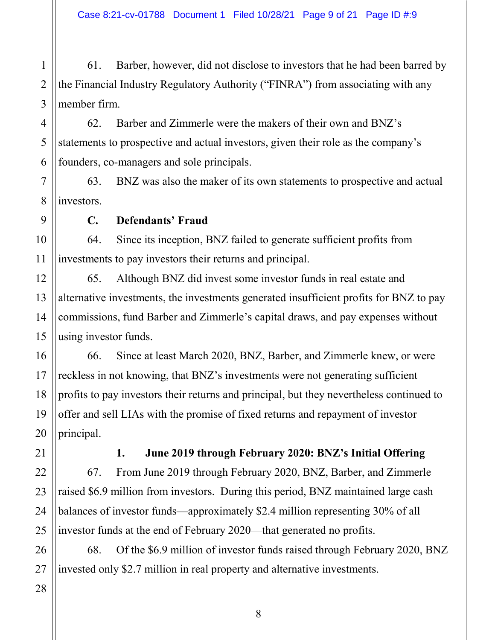61. Barber, however, did not disclose to investors that he had been barred by the Financial Industry Regulatory Authority ("FINRA") from associating with any member firm.

62. Barber and Zimmerle were the makers of their own and BNZ's statements to prospective and actual investors, given their role as the company's founders, co-managers and sole principals.

7 8 63. BNZ was also the maker of its own statements to prospective and actual investors.

**C. Defendants' Fraud**

64. Since its inception, BNZ failed to generate sufficient profits from investments to pay investors their returns and principal.

65. Although BNZ did invest some investor funds in real estate and alternative investments, the investments generated insufficient profits for BNZ to pay commissions, fund Barber and Zimmerle's capital draws, and pay expenses without using investor funds.

66. Since at least March 2020, BNZ, Barber, and Zimmerle knew, or were reckless in not knowing, that BNZ's investments were not generating sufficient profits to pay investors their returns and principal, but they nevertheless continued to offer and sell LIAs with the promise of fixed returns and repayment of investor principal.

**1. June 2019 through February 2020: BNZ's Initial Offering** 67. From June 2019 through February 2020, BNZ, Barber, and Zimmerle raised \$6.9 million from investors. During this period, BNZ maintained large cash balances of investor funds—approximately \$2.4 million representing 30% of all investor funds at the end of February 2020—that generated no profits.

68. Of the \$6.9 million of investor funds raised through February 2020, BNZ invested only \$2.7 million in real property and alternative investments.

25 26 27

1

2

3

4

5

6

9

10

11

12

13

14

15

16

17

18

19

20

21

22

23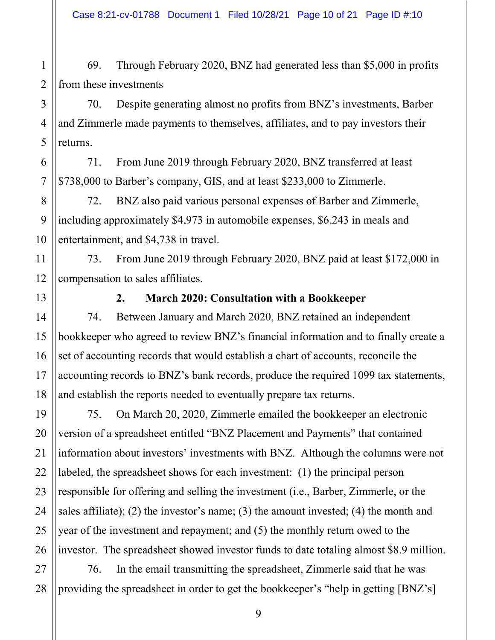69. Through February 2020, BNZ had generated less than \$5,000 in profits from these investments

70. Despite generating almost no profits from BNZ's investments, Barber and Zimmerle made payments to themselves, affiliates, and to pay investors their returns.

71. From June 2019 through February 2020, BNZ transferred at least \$738,000 to Barber's company, GIS, and at least \$233,000 to Zimmerle.

72. BNZ also paid various personal expenses of Barber and Zimmerle, including approximately \$4,973 in automobile expenses, \$6,243 in meals and entertainment, and \$4,738 in travel.

73. From June 2019 through February 2020, BNZ paid at least \$172,000 in compensation to sales affiliates.

### **2. March 2020: Consultation with a Bookkeeper**

74. Between January and March 2020, BNZ retained an independent bookkeeper who agreed to review BNZ's financial information and to finally create a set of accounting records that would establish a chart of accounts, reconcile the accounting records to BNZ's bank records, produce the required 1099 tax statements, and establish the reports needed to eventually prepare tax returns.

75. On March 20, 2020, Zimmerle emailed the bookkeeper an electronic version of a spreadsheet entitled "BNZ Placement and Payments" that contained information about investors' investments with BNZ. Although the columns were not labeled, the spreadsheet shows for each investment: (1) the principal person responsible for offering and selling the investment (i.e., Barber, Zimmerle, or the sales affiliate); (2) the investor's name; (3) the amount invested; (4) the month and year of the investment and repayment; and (5) the monthly return owed to the investor. The spreadsheet showed investor funds to date totaling almost \$8.9 million.

76. In the email transmitting the spreadsheet, Zimmerle said that he was providing the spreadsheet in order to get the bookkeeper's "help in getting [BNZ's]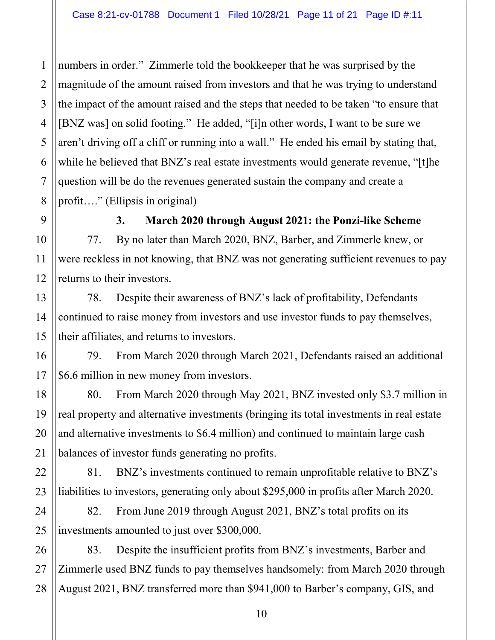numbers in order." Zimmerle told the bookkeeper that he was surprised by the magnitude of the amount raised from investors and that he was trying to understand the impact of the amount raised and the steps that needed to be taken "to ensure that [BNZ was] on solid footing." He added, "[i]n other words, I want to be sure we aren't driving off a cliff or running into a wall." He ended his email by stating that, while he believed that BNZ's real estate investments would generate revenue, "[t]he question will be do the revenues generated sustain the company and create a profit…." (Ellipsis in original)

1

2

3

### **3. March 2020 through August 2021: the Ponzi-like Scheme**

77. By no later than March 2020, BNZ, Barber, and Zimmerle knew, or were reckless in not knowing, that BNZ was not generating sufficient revenues to pay returns to their investors.

78. Despite their awareness of BNZ's lack of profitability, Defendants continued to raise money from investors and use investor funds to pay themselves, their affiliates, and returns to investors.

79. From March 2020 through March 2021, Defendants raised an additional \$6.6 million in new money from investors.

80. From March 2020 through May 2021, BNZ invested only \$3.7 million in real property and alternative investments (bringing its total investments in real estate and alternative investments to \$6.4 million) and continued to maintain large cash balances of investor funds generating no profits.

81. BNZ's investments continued to remain unprofitable relative to BNZ's liabilities to investors, generating only about \$295,000 in profits after March 2020.

82. From June 2019 through August 2021, BNZ's total profits on its investments amounted to just over \$300,000.

83. Despite the insufficient profits from BNZ's investments, Barber and Zimmerle used BNZ funds to pay themselves handsomely: from March 2020 through August 2021, BNZ transferred more than \$941,000 to Barber's company, GIS, and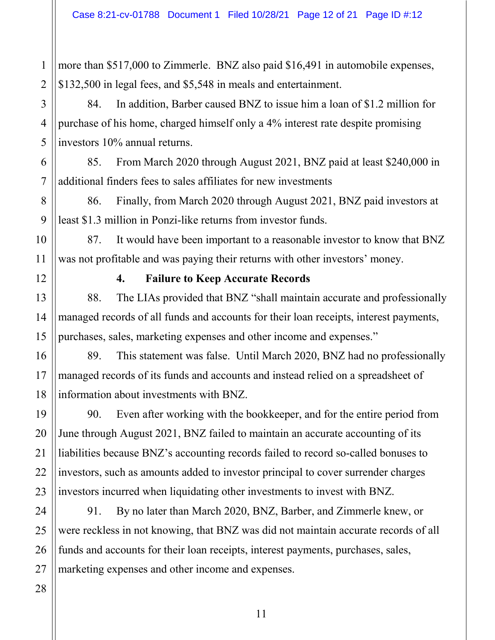more than \$517,000 to Zimmerle. BNZ also paid \$16,491 in automobile expenses, \$132,500 in legal fees, and \$5,548 in meals and entertainment.

84. In addition, Barber caused BNZ to issue him a loan of \$1.2 million for purchase of his home, charged himself only a 4% interest rate despite promising investors 10% annual returns.

85. From March 2020 through August 2021, BNZ paid at least \$240,000 in additional finders fees to sales affiliates for new investments

86. Finally, from March 2020 through August 2021, BNZ paid investors at least \$1.3 million in Ponzi-like returns from investor funds.

87. It would have been important to a reasonable investor to know that BNZ was not profitable and was paying their returns with other investors' money.

1

2

3

4

5

6

7

8

9

10

11

12

13

14

15

16

17

18

19

20

21

22

23

24

25

26

### **4. Failure to Keep Accurate Records**

88. The LIAs provided that BNZ "shall maintain accurate and professionally managed records of all funds and accounts for their loan receipts, interest payments, purchases, sales, marketing expenses and other income and expenses."

89. This statement was false. Until March 2020, BNZ had no professionally managed records of its funds and accounts and instead relied on a spreadsheet of information about investments with BNZ.

90. Even after working with the bookkeeper, and for the entire period from June through August 2021, BNZ failed to maintain an accurate accounting of its liabilities because BNZ's accounting records failed to record so-called bonuses to investors, such as amounts added to investor principal to cover surrender charges investors incurred when liquidating other investments to invest with BNZ.

91. By no later than March 2020, BNZ, Barber, and Zimmerle knew, or were reckless in not knowing, that BNZ was did not maintain accurate records of all funds and accounts for their loan receipts, interest payments, purchases, sales, marketing expenses and other income and expenses.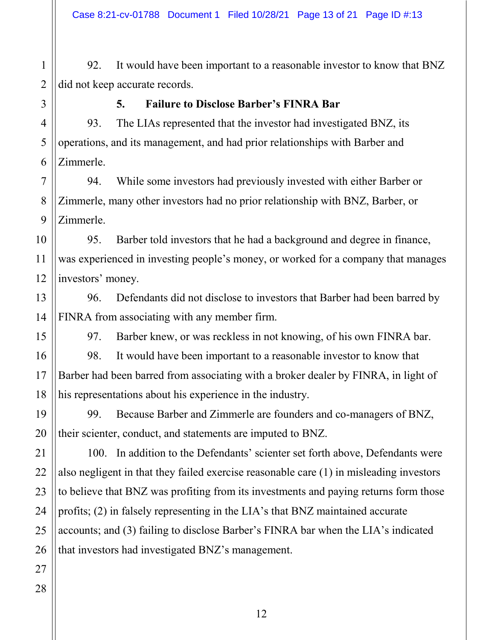1 2 92. It would have been important to a reasonable investor to know that BNZ did not keep accurate records.

#### **5. Failure to Disclose Barber's FINRA Bar**

93. The LIAs represented that the investor had investigated BNZ, its operations, and its management, and had prior relationships with Barber and Zimmerle.

94. While some investors had previously invested with either Barber or Zimmerle, many other investors had no prior relationship with BNZ, Barber, or Zimmerle.

95. Barber told investors that he had a background and degree in finance, was experienced in investing people's money, or worked for a company that manages investors' money.

96. Defendants did not disclose to investors that Barber had been barred by FINRA from associating with any member firm.

97. Barber knew, or was reckless in not knowing, of his own FINRA bar.

98. It would have been important to a reasonable investor to know that Barber had been barred from associating with a broker dealer by FINRA, in light of his representations about his experience in the industry.

99. Because Barber and Zimmerle are founders and co-managers of BNZ, their scienter, conduct, and statements are imputed to BNZ.

100. In addition to the Defendants' scienter set forth above, Defendants were also negligent in that they failed exercise reasonable care (1) in misleading investors to believe that BNZ was profiting from its investments and paying returns form those profits; (2) in falsely representing in the LIA's that BNZ maintained accurate accounts; and (3) failing to disclose Barber's FINRA bar when the LIA's indicated that investors had investigated BNZ's management.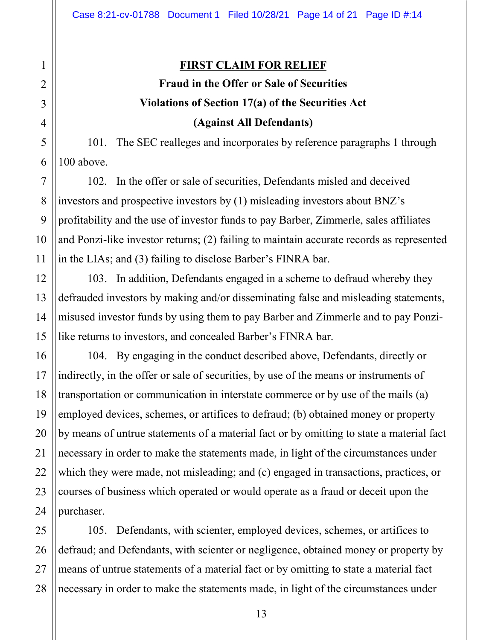#### **FIRST CLAIM FOR RELIEF**

# **Fraud in the Offer or Sale of Securities Violations of Section 17(a) of the Securities Act (Against All Defendants)**

101. The SEC realleges and incorporates by reference paragraphs 1 through 100 above.

102. In the offer or sale of securities, Defendants misled and deceived investors and prospective investors by (1) misleading investors about BNZ's profitability and the use of investor funds to pay Barber, Zimmerle, sales affiliates and Ponzi-like investor returns; (2) failing to maintain accurate records as represented in the LIAs; and (3) failing to disclose Barber's FINRA bar.

103. In addition, Defendants engaged in a scheme to defraud whereby they defrauded investors by making and/or disseminating false and misleading statements, misused investor funds by using them to pay Barber and Zimmerle and to pay Ponzilike returns to investors, and concealed Barber's FINRA bar.

104. By engaging in the conduct described above, Defendants, directly or indirectly, in the offer or sale of securities, by use of the means or instruments of transportation or communication in interstate commerce or by use of the mails (a) employed devices, schemes, or artifices to defraud; (b) obtained money or property by means of untrue statements of a material fact or by omitting to state a material fact necessary in order to make the statements made, in light of the circumstances under which they were made, not misleading; and (c) engaged in transactions, practices, or courses of business which operated or would operate as a fraud or deceit upon the purchaser.

105. Defendants, with scienter, employed devices, schemes, or artifices to defraud; and Defendants, with scienter or negligence, obtained money or property by means of untrue statements of a material fact or by omitting to state a material fact necessary in order to make the statements made, in light of the circumstances under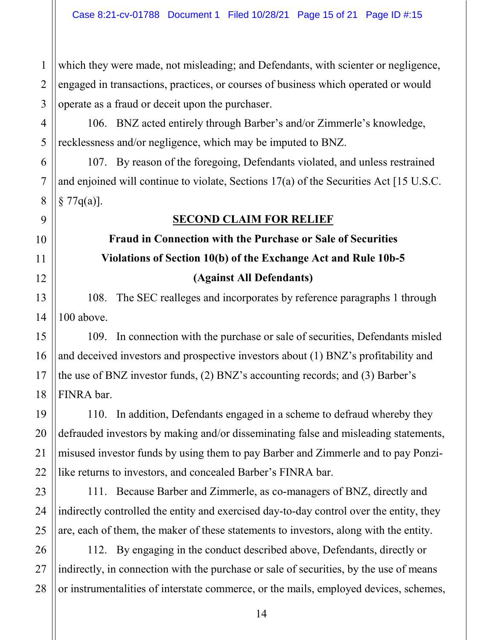which they were made, not misleading; and Defendants, with scienter or negligence, engaged in transactions, practices, or courses of business which operated or would operate as a fraud or deceit upon the purchaser.

1

2

3

4

5

6

7

8

9

10

11

12

13

14

15

16

17

18

19

20

21

22

23

24

25

27

106. BNZ acted entirely through Barber's and/or Zimmerle's knowledge, recklessness and/or negligence, which may be imputed to BNZ.

107. By reason of the foregoing, Defendants violated, and unless restrained and enjoined will continue to violate, Sections 17(a) of the Securities Act [15 U.S.C.  $§ 77q(a)].$ 

### **SECOND CLAIM FOR RELIEF**

# **Fraud in Connection with the Purchase or Sale of Securities Violations of Section 10(b) of the Exchange Act and Rule 10b-5 (Against All Defendants)**

108. The SEC realleges and incorporates by reference paragraphs 1 through 100 above.

109. In connection with the purchase or sale of securities, Defendants misled and deceived investors and prospective investors about (1) BNZ's profitability and the use of BNZ investor funds, (2) BNZ's accounting records; and (3) Barber's FINRA bar.

110. In addition, Defendants engaged in a scheme to defraud whereby they defrauded investors by making and/or disseminating false and misleading statements, misused investor funds by using them to pay Barber and Zimmerle and to pay Ponzilike returns to investors, and concealed Barber's FINRA bar.

111. Because Barber and Zimmerle, as co-managers of BNZ, directly and indirectly controlled the entity and exercised day-to-day control over the entity, they are, each of them, the maker of these statements to investors, along with the entity.

26 28 112. By engaging in the conduct described above, Defendants, directly or indirectly, in connection with the purchase or sale of securities, by the use of means or instrumentalities of interstate commerce, or the mails, employed devices, schemes,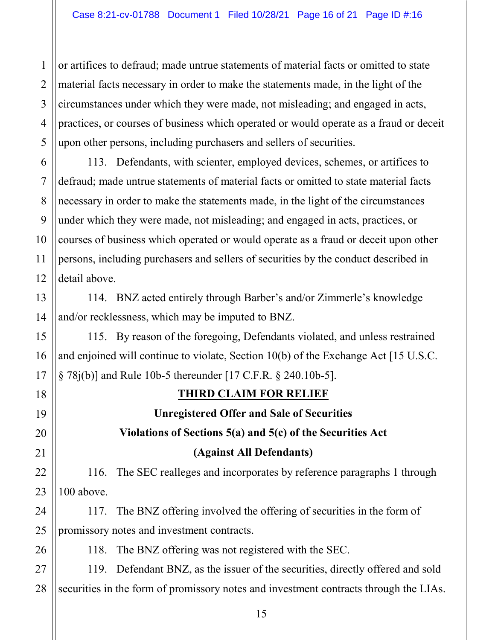or artifices to defraud; made untrue statements of material facts or omitted to state material facts necessary in order to make the statements made, in the light of the circumstances under which they were made, not misleading; and engaged in acts, practices, or courses of business which operated or would operate as a fraud or deceit upon other persons, including purchasers and sellers of securities.

1

2

3

4

5

6

7

8

9

10

11

12

13

14

15

16

17

18

19

20

21

22

23

24

25

26

113. Defendants, with scienter, employed devices, schemes, or artifices to defraud; made untrue statements of material facts or omitted to state material facts necessary in order to make the statements made, in the light of the circumstances under which they were made, not misleading; and engaged in acts, practices, or courses of business which operated or would operate as a fraud or deceit upon other persons, including purchasers and sellers of securities by the conduct described in detail above.

114. BNZ acted entirely through Barber's and/or Zimmerle's knowledge and/or recklessness, which may be imputed to BNZ.

115. By reason of the foregoing, Defendants violated, and unless restrained and enjoined will continue to violate, Section 10(b) of the Exchange Act [15 U.S.C. § 78j(b)] and Rule 10b-5 thereunder [17 C.F.R. § 240.10b-5].

# **THIRD CLAIM FOR RELIEF**

**Unregistered Offer and Sale of Securities Violations of Sections 5(a) and 5(c) of the Securities Act (Against All Defendants)**

116. The SEC realleges and incorporates by reference paragraphs 1 through 100 above.

117. The BNZ offering involved the offering of securities in the form of promissory notes and investment contracts.

118. The BNZ offering was not registered with the SEC.

27 28 119. Defendant BNZ, as the issuer of the securities, directly offered and sold securities in the form of promissory notes and investment contracts through the LIAs.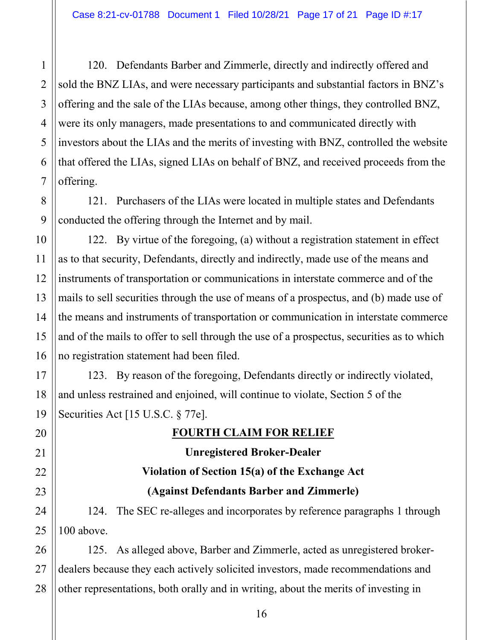120. Defendants Barber and Zimmerle, directly and indirectly offered and sold the BNZ LIAs, and were necessary participants and substantial factors in BNZ's offering and the sale of the LIAs because, among other things, they controlled BNZ, were its only managers, made presentations to and communicated directly with investors about the LIAs and the merits of investing with BNZ, controlled the website that offered the LIAs, signed LIAs on behalf of BNZ, and received proceeds from the offering.

121. Purchasers of the LIAs were located in multiple states and Defendants conducted the offering through the Internet and by mail.

122. By virtue of the foregoing, (a) without a registration statement in effect as to that security, Defendants, directly and indirectly, made use of the means and instruments of transportation or communications in interstate commerce and of the mails to sell securities through the use of means of a prospectus, and (b) made use of the means and instruments of transportation or communication in interstate commerce and of the mails to offer to sell through the use of a prospectus, securities as to which no registration statement had been filed.

123. By reason of the foregoing, Defendants directly or indirectly violated, and unless restrained and enjoined, will continue to violate, Section 5 of the Securities Act [15 U.S.C. § 77e].

### **FOURTH CLAIM FOR RELIEF**

# **Unregistered Broker-Dealer Violation of Section 15(a) of the Exchange Act (Against Defendants Barber and Zimmerle)**

124. The SEC re-alleges and incorporates by reference paragraphs 1 through 100 above.

125. As alleged above, Barber and Zimmerle, acted as unregistered brokerdealers because they each actively solicited investors, made recommendations and other representations, both orally and in writing, about the merits of investing in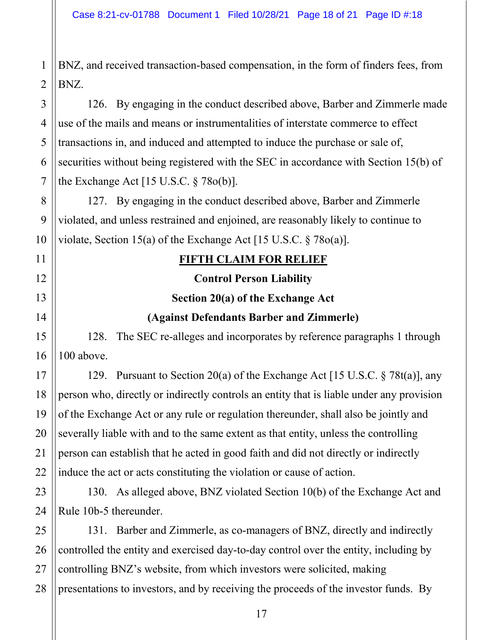BNZ, and received transaction-based compensation, in the form of finders fees, from BNZ.

126. By engaging in the conduct described above, Barber and Zimmerle made use of the mails and means or instrumentalities of interstate commerce to effect transactions in, and induced and attempted to induce the purchase or sale of, securities without being registered with the SEC in accordance with Section 15(b) of the Exchange Act  $[15 \text{ U.S.C.} \S 78o(b)].$ 

127. By engaging in the conduct described above, Barber and Zimmerle violated, and unless restrained and enjoined, are reasonably likely to continue to violate, Section 15(a) of the Exchange Act [15 U.S.C.  $\S 78o(a)$ ].

### **FIFTH CLAIM FOR RELIEF**

#### **Control Person Liability**

#### **Section 20(a) of the Exchange Act**

### **(Against Defendants Barber and Zimmerle)**

128. The SEC re-alleges and incorporates by reference paragraphs 1 through 100 above.

129. Pursuant to Section 20(a) of the Exchange Act [15 U.S.C. § 78t(a)], any person who, directly or indirectly controls an entity that is liable under any provision of the Exchange Act or any rule or regulation thereunder, shall also be jointly and severally liable with and to the same extent as that entity, unless the controlling person can establish that he acted in good faith and did not directly or indirectly induce the act or acts constituting the violation or cause of action.

130. As alleged above, BNZ violated Section 10(b) of the Exchange Act and Rule 10b-5 thereunder.

131. Barber and Zimmerle, as co-managers of BNZ, directly and indirectly controlled the entity and exercised day-to-day control over the entity, including by controlling BNZ's website, from which investors were solicited, making presentations to investors, and by receiving the proceeds of the investor funds. By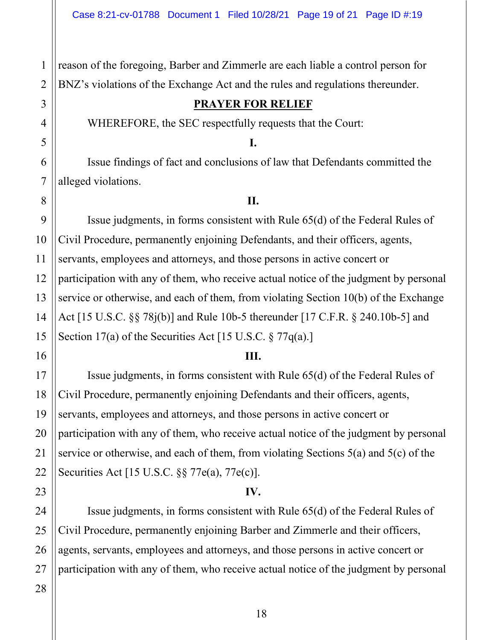reason of the foregoing, Barber and Zimmerle are each liable a control person for BNZ's violations of the Exchange Act and the rules and regulations thereunder.

#### **PRAYER FOR RELIEF**

WHEREFORE, the SEC respectfully requests that the Court:

**I.**

Issue findings of fact and conclusions of law that Defendants committed the alleged violations.

#### **II.**

Issue judgments, in forms consistent with Rule 65(d) of the Federal Rules of Civil Procedure, permanently enjoining Defendants, and their officers, agents, servants, employees and attorneys, and those persons in active concert or participation with any of them, who receive actual notice of the judgment by personal service or otherwise, and each of them, from violating Section 10(b) of the Exchange Act [15 U.S.C. §§ 78j(b)] and Rule 10b-5 thereunder [17 C.F.R. § 240.10b-5] and Section 17(a) of the Securities Act [15 U.S.C. § 77q(a).]

#### **III.**

Issue judgments, in forms consistent with Rule 65(d) of the Federal Rules of Civil Procedure, permanently enjoining Defendants and their officers, agents, servants, employees and attorneys, and those persons in active concert or participation with any of them, who receive actual notice of the judgment by personal service or otherwise, and each of them, from violating Sections 5(a) and 5(c) of the Securities Act [15 U.S.C. §§ 77e(a), 77e(c)].

### **IV.**

Issue judgments, in forms consistent with Rule 65(d) of the Federal Rules of Civil Procedure, permanently enjoining Barber and Zimmerle and their officers, agents, servants, employees and attorneys, and those persons in active concert or participation with any of them, who receive actual notice of the judgment by personal

1

2

3

4

5

6

7

8

9

10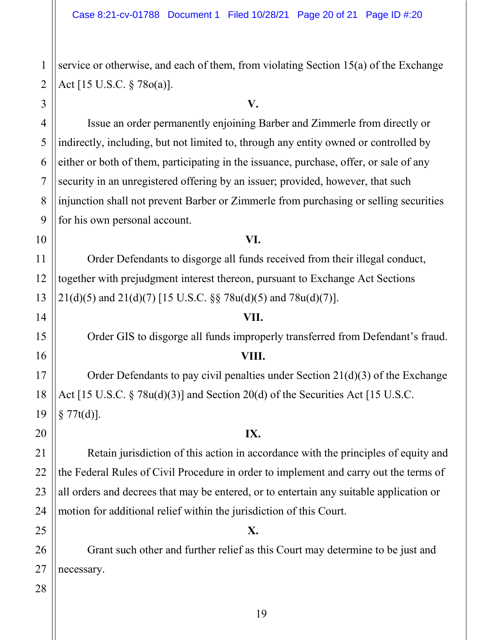service or otherwise, and each of them, from violating Section 15(a) of the Exchange Act [15 U.S.C. § 78o(a)].

#### **V.**

Issue an order permanently enjoining Barber and Zimmerle from directly or indirectly, including, but not limited to, through any entity owned or controlled by either or both of them, participating in the issuance, purchase, offer, or sale of any security in an unregistered offering by an issuer; provided, however, that such injunction shall not prevent Barber or Zimmerle from purchasing or selling securities for his own personal account.

#### **VI.**

Order Defendants to disgorge all funds received from their illegal conduct, together with prejudgment interest thereon, pursuant to Exchange Act Sections  $21(d)(5)$  and  $21(d)(7)$  [15 U.S.C. §§ 78u(d)(5) and 78u(d)(7)].

#### **VII.**

Order GIS to disgorge all funds improperly transferred from Defendant's fraud.

#### **VIII.**

Order Defendants to pay civil penalties under Section 21(d)(3) of the Exchange Act [15 U.S.C. § 78u(d)(3)] and Section 20(d) of the Securities Act [15 U.S.C.  $§ 77t(d)].$ 

#### **IX.**

Retain jurisdiction of this action in accordance with the principles of equity and the Federal Rules of Civil Procedure in order to implement and carry out the terms of all orders and decrees that may be entered, or to entertain any suitable application or motion for additional relief within the jurisdiction of this Court.

### **X.**

Grant such other and further relief as this Court may determine to be just and necessary.

# 18 19 20 21 22 23 24 25 26 27 28

1

2

3

4

5

6

7

8

9

10

11

12

13

14

15

16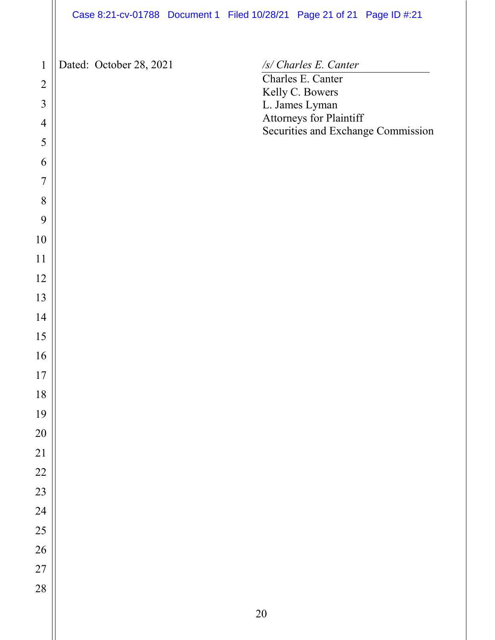|                 | Case 8:21-cv-01788 Document 1 Filed 10/28/21 Page 21 of 21 Page ID #:21 |  |                                      |                                    |
|-----------------|-------------------------------------------------------------------------|--|--------------------------------------|------------------------------------|
|                 |                                                                         |  |                                      |                                    |
| $\mathbf{1}$    | Dated: October 28, 2021                                                 |  | /s/ Charles E. Canter                |                                    |
| $\overline{2}$  |                                                                         |  | Charles E. Canter<br>Kelly C. Bowers |                                    |
| $\overline{3}$  |                                                                         |  | L. James Lyman                       |                                    |
| $\overline{4}$  |                                                                         |  | Attorneys for Plaintiff              | Securities and Exchange Commission |
| 5               |                                                                         |  |                                      |                                    |
| 6               |                                                                         |  |                                      |                                    |
| $\overline{7}$  |                                                                         |  |                                      |                                    |
| 8               |                                                                         |  |                                      |                                    |
| 9               |                                                                         |  |                                      |                                    |
| 10              |                                                                         |  |                                      |                                    |
| 11              |                                                                         |  |                                      |                                    |
| 12              |                                                                         |  |                                      |                                    |
| 13              |                                                                         |  |                                      |                                    |
| 14              |                                                                         |  |                                      |                                    |
| 15              |                                                                         |  |                                      |                                    |
| 16              |                                                                         |  |                                      |                                    |
| 17              |                                                                         |  |                                      |                                    |
| 18              |                                                                         |  |                                      |                                    |
| 19              |                                                                         |  |                                      |                                    |
| 20              |                                                                         |  |                                      |                                    |
| $\overline{21}$ |                                                                         |  |                                      |                                    |
| 22              |                                                                         |  |                                      |                                    |
| 23              |                                                                         |  |                                      |                                    |
| 24              |                                                                         |  |                                      |                                    |
| 25              |                                                                         |  |                                      |                                    |
| 26              |                                                                         |  |                                      |                                    |
| 27              |                                                                         |  |                                      |                                    |
| 28              |                                                                         |  |                                      |                                    |